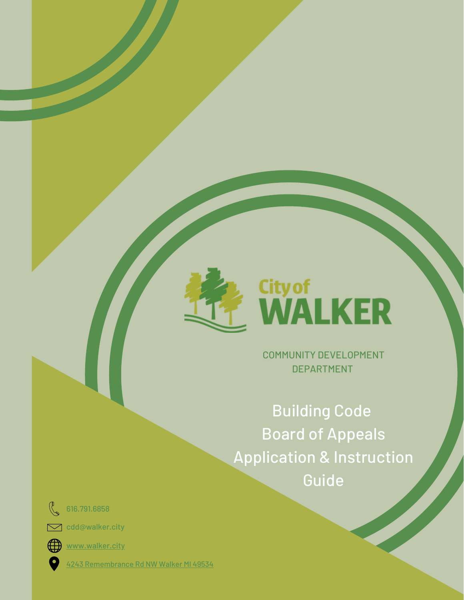

# City of<br>WALKER

COMMUNITY DEVELOPMENT DEPARTMENT

Building Code Board of Appeals Application & Instruction Guide

 $\mathbb{R}$ 616.791.6858

cdd@walker.city



[www.walker.city](http://www.walker.city/)

4243 [Remembrance](https://goo.gl/maps/5QHzHVERV2wh6oY57) Rd NW Walker MI 49534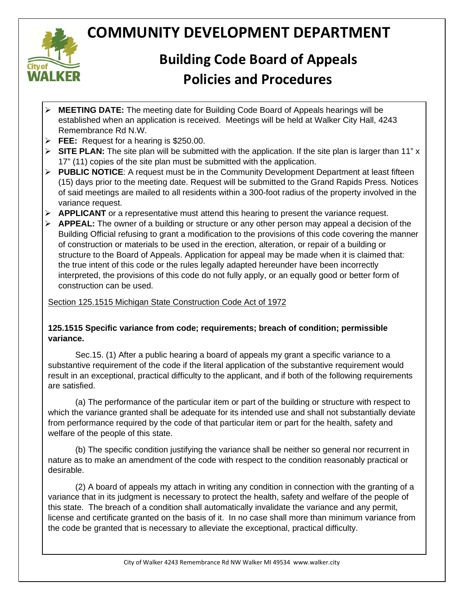

## **COMMUNITY DEVELOPMENT DEPARTMENT**

## **Building Code Board of Appeals Policies and Procedures**

- **MEETING DATE:** The meeting date for Building Code Board of Appeals hearings will be established when an application is received. Meetings will be held at Walker City Hall, 4243 Remembrance Rd N.W.
- **FEE:** Request for a hearing is \$250.00.
- **SITE PLAN:** The site plan will be submitted with the application. If the site plan is larger than 11" x 17" (11) copies of the site plan must be submitted with the application.
- **► PUBLIC NOTICE:** A request must be in the Community Development Department at least fifteen (15) days prior to the meeting date. Request will be submitted to the Grand Rapids Press. Notices of said meetings are mailed to all residents within a 300-foot radius of the property involved in the variance request.
- **APPLICANT** or a representative must attend this hearing to present the variance request.
- **APPEAL:** The owner of a building or structure or any other person may appeal a decision of the Building Official refusing to grant a modification to the provisions of this code covering the manner of construction or materials to be used in the erection, alteration, or repair of a building or structure to the Board of Appeals. Application for appeal may be made when it is claimed that: the true intent of this code or the rules legally adapted hereunder have been incorrectly interpreted, the provisions of this code do not fully apply, or an equally good or better form of construction can be used.

#### Section 125.1515 Michigan State Construction Code Act of 1972

#### **125.1515 Specific variance from code; requirements; breach of condition; permissible variance.**

Sec.15. (1) After a public hearing a board of appeals my grant a specific variance to a substantive requirement of the code if the literal application of the substantive requirement would result in an exceptional, practical difficulty to the applicant, and if both of the following requirements are satisfied.

(a) The performance of the particular item or part of the building or structure with respect to which the variance granted shall be adequate for its intended use and shall not substantially deviate from performance required by the code of that particular item or part for the health, safety and welfare of the people of this state.

(b) The specific condition justifying the variance shall be neither so general nor recurrent in nature as to make an amendment of the code with respect to the condition reasonably practical or desirable.

(2) A board of appeals my attach in writing any condition in connection with the granting of a variance that in its judgment is necessary to protect the health, safety and welfare of the people of this state. The breach of a condition shall automatically invalidate the variance and any permit, license and certificate granted on the basis of it. In no case shall more than minimum variance from the code be granted that is necessary to alleviate the exceptional, practical difficulty.